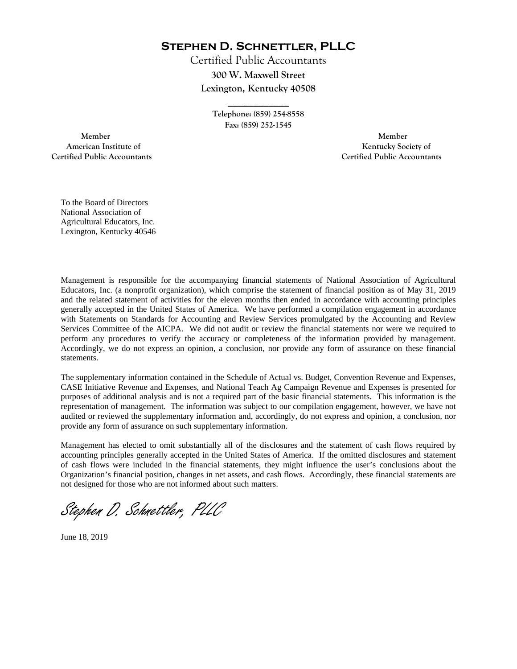**Stephen D. Schnettler, PLLC**

Certified Public Accountants **300 W. Maxwell Street Lexington, Kentucky 40508** 

> **Telephone: (859) 254-8558 Fax: (859) 252-1545**

**\_\_\_\_\_\_\_\_\_\_\_\_** 

 **Member Member Certified Public Accountants Certified Public Accountants** 

American Institute of **Kentucky Society of** 

To the Board of Directors National Association of Agricultural Educators, Inc. Lexington, Kentucky 40546

Management is responsible for the accompanying financial statements of National Association of Agricultural Educators, Inc. (a nonprofit organization), which comprise the statement of financial position as of May 31, 2019 and the related statement of activities for the eleven months then ended in accordance with accounting principles generally accepted in the United States of America. We have performed a compilation engagement in accordance with Statements on Standards for Accounting and Review Services promulgated by the Accounting and Review Services Committee of the AICPA. We did not audit or review the financial statements nor were we required to perform any procedures to verify the accuracy or completeness of the information provided by management. Accordingly, we do not express an opinion, a conclusion, nor provide any form of assurance on these financial statements.

The supplementary information contained in the Schedule of Actual vs. Budget, Convention Revenue and Expenses, CASE Initiative Revenue and Expenses, and National Teach Ag Campaign Revenue and Expenses is presented for purposes of additional analysis and is not a required part of the basic financial statements. This information is the representation of management. The information was subject to our compilation engagement, however, we have not audited or reviewed the supplementary information and, accordingly, do not express and opinion, a conclusion, nor provide any form of assurance on such supplementary information.

Management has elected to omit substantially all of the disclosures and the statement of cash flows required by accounting principles generally accepted in the United States of America. If the omitted disclosures and statement of cash flows were included in the financial statements, they might influence the user's conclusions about the Organization's financial position, changes in net assets, and cash flows. Accordingly, these financial statements are not designed for those who are not informed about such matters.

Stephen D. Schnettler, PLLC

June 18, 2019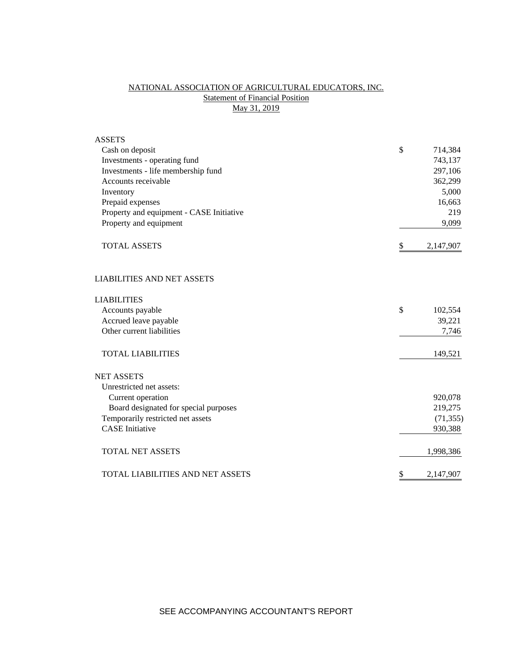## NATIONAL ASSOCIATION OF AGRICULTURAL EDUCATORS, INC. **Statement of Financial Position** May 31, 2019

| <b>ASSETS</b>                            |                 |
|------------------------------------------|-----------------|
| Cash on deposit                          | \$<br>714,384   |
| Investments - operating fund             | 743,137         |
| Investments - life membership fund       | 297,106         |
| Accounts receivable                      | 362,299         |
| Inventory                                | 5,000           |
| Prepaid expenses                         | 16,663          |
| Property and equipment - CASE Initiative | 219             |
| Property and equipment                   | 9,099           |
| <b>TOTAL ASSETS</b>                      | \$<br>2,147,907 |
| <b>LIABILITIES AND NET ASSETS</b>        |                 |
| <b>LIABILITIES</b>                       |                 |
| Accounts payable                         | \$<br>102,554   |
| Accrued leave payable                    | 39,221          |
| Other current liabilities                | 7,746           |
| <b>TOTAL LIABILITIES</b>                 | 149,521         |
| <b>NET ASSETS</b>                        |                 |
| Unrestricted net assets:                 |                 |
| Current operation                        | 920,078         |
| Board designated for special purposes    | 219,275         |
| Temporarily restricted net assets        | (71, 355)       |
| <b>CASE</b> Initiative                   | 930,388         |
| <b>TOTAL NET ASSETS</b>                  | 1,998,386       |
| <b>TOTAL LIABILITIES AND NET ASSETS</b>  | \$<br>2,147,907 |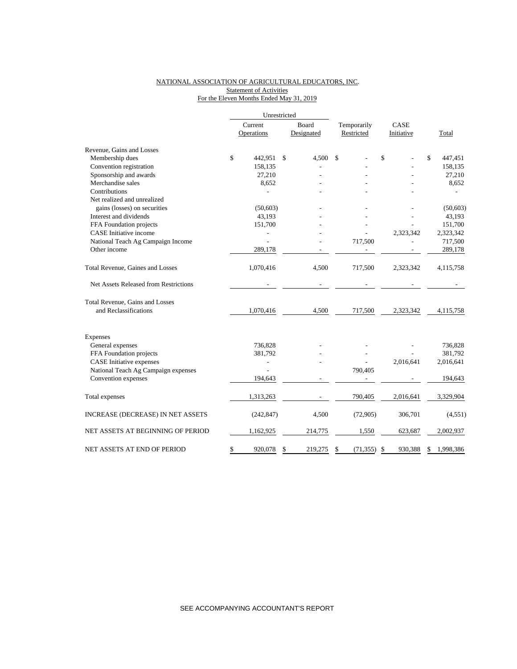### NATIONAL ASSOCIATION OF AGRICULTURAL EDUCATORS, INC. Statement of Activities For the Eleven Months Ended May 31, 2019

|                                       | Unrestricted   |               |                 |              |    |           |
|---------------------------------------|----------------|---------------|-----------------|--------------|----|-----------|
|                                       | Current        | Board         | Temporarily     | CASE         |    |           |
|                                       | Operations     | Designated    | Restricted      | Initiative   |    | Total     |
| Revenue, Gains and Losses             |                |               |                 |              |    |           |
| Membership dues                       | \$<br>442,951  | \$<br>4,500   | \$              | \$           | \$ | 447,451   |
| Convention registration               | 158,135        |               |                 |              |    | 158,135   |
| Sponsorship and awards                | 27,210         |               |                 |              |    | 27,210    |
| Merchandise sales                     | 8,652          |               |                 |              |    | 8,652     |
| Contributions                         |                |               |                 |              |    |           |
| Net realized and unrealized           |                |               |                 |              |    |           |
| gains (losses) on securities          | (50,603)       |               |                 |              |    | (50, 603) |
| Interest and dividends                | 43,193         |               |                 |              |    | 43,193    |
| FFA Foundation projects               | 151,700        |               |                 |              |    | 151,700   |
| <b>CASE</b> Initiative income         |                |               |                 | 2,323,342    |    | 2,323,342 |
| National Teach Ag Campaign Income     |                |               | 717,500         |              |    | 717,500   |
| Other income                          | 289,178        |               |                 |              |    | 289,178   |
| Total Revenue, Gaines and Losses      | 1,070,416      | 4,500         | 717,500         | 2,323,342    |    | 4,115,758 |
| Net Assets Released from Restrictions |                |               |                 |              |    |           |
| Total Revenue, Gains and Losses       |                |               |                 |              |    |           |
| and Reclassifications                 | 1,070,416      | 4,500         | 717,500         | 2,323,342    |    | 4,115,758 |
| Expenses                              |                |               |                 |              |    |           |
| General expenses                      | 736,828        |               |                 |              |    | 736,828   |
| FFA Foundation projects               | 381,792        |               |                 |              |    | 381,792   |
| <b>CASE</b> Initiative expenses       | $\overline{a}$ |               |                 | 2,016,641    |    | 2,016,641 |
| National Teach Ag Campaign expenses   |                |               | 790,405         |              |    |           |
| Convention expenses                   | 194.643        |               |                 |              |    | 194,643   |
| Total expenses                        | 1,313,263      |               | 790,405         | 2,016,641    |    | 3,329,904 |
| INCREASE (DECREASE) IN NET ASSETS     | (242, 847)     | 4,500         | (72,905)        | 306,701      |    | (4, 551)  |
| NET ASSETS AT BEGINNING OF PERIOD     | 1,162,925      | 214,775       | 1,550           | 623,687      |    | 2,002,937 |
| NET ASSETS AT END OF PERIOD           | \$<br>920,078  | \$<br>219,275 | \$<br>(71, 355) | 930,388<br>S | S  | 1,998,386 |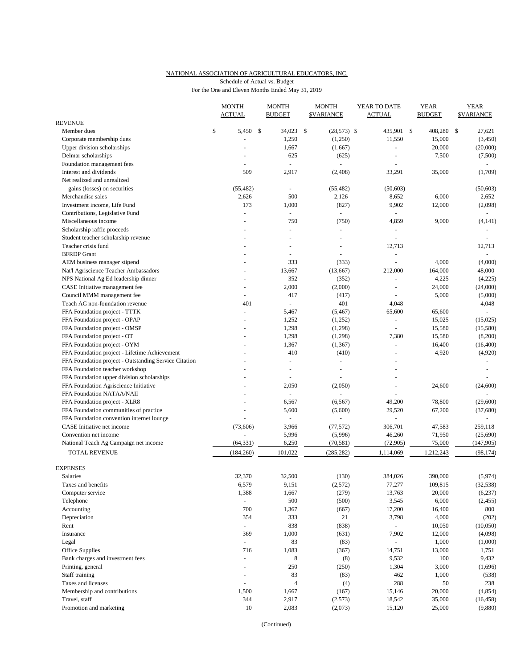# NATIONAL ASSOCIATION OF AGRICULTURAL EDUCATORS, INC. Schedule of Actual vs. Budget

|  | For the One and Eleven Months Ended May 31, 2019 |  |
|--|--------------------------------------------------|--|
|  |                                                  |  |

|                                                       | <b>MONTH</b><br><b>ACTUAL</b> |     | <b>MONTH</b><br><b>BUDGET</b> |     | <b>MONTH</b><br><b>\$VARIANCE</b> | YEAR TO DATE<br><b>ACTUAL</b> | <b>YEAR</b><br><b>BUDGET</b> | <b>YEAR</b><br><b>\$VARIANCE</b> |  |
|-------------------------------------------------------|-------------------------------|-----|-------------------------------|-----|-----------------------------------|-------------------------------|------------------------------|----------------------------------|--|
| <b>REVENUE</b>                                        |                               |     |                               |     |                                   |                               |                              |                                  |  |
| Member dues                                           | \$<br>5,450                   | -\$ | 34,023                        | -\$ | $(28,573)$ \$                     | 435,901                       | \$<br>408,280                | \$<br>27,621                     |  |
| Corporate membership dues                             |                               |     | 1,250                         |     | (1,250)                           | 11,550                        | 15,000                       | (3,450)                          |  |
| Upper division scholarships                           |                               |     | 1,667                         |     | (1,667)                           | $\equiv$                      | 20,000                       | (20,000)                         |  |
| Delmar scholarships                                   |                               |     | 625                           |     | (625)                             |                               | 7,500                        | (7,500)                          |  |
| Foundation management fees                            |                               |     | $\sim$                        |     | $\sim$                            |                               |                              | $\omega$                         |  |
| Interest and dividends                                | 509                           |     | 2,917                         |     | (2,408)                           | 33,291                        | 35,000                       | (1,709)                          |  |
| Net realized and unrealized                           |                               |     |                               |     |                                   |                               |                              |                                  |  |
| gains (losses) on securities                          | (55, 482)                     |     |                               |     | (55, 482)                         | (50,603)                      |                              | (50, 603)                        |  |
| Merchandise sales                                     | 2,626                         |     | 500                           |     | 2,126                             | 8,652                         | 6,000                        | 2,652                            |  |
| Investment income, Life Fund                          | 173                           |     | 1,000                         |     | (827)                             | 9,902                         | 12,000                       | (2,098)                          |  |
| Contributions, Legislative Fund                       |                               |     | ÷                             |     |                                   |                               |                              |                                  |  |
| Miscellaneous income                                  | $\ddot{\phantom{1}}$          |     | 750                           |     | (750)                             | 4,859                         | 9,000                        | (4, 141)                         |  |
| Scholarship raffle proceeds                           |                               |     |                               |     | $\sim$                            |                               |                              |                                  |  |
| Student teacher scholarship revenue                   |                               |     |                               |     | $\sim$                            | L,                            |                              | L,                               |  |
| Teacher crisis fund                                   |                               |     |                               |     |                                   | 12,713                        |                              | 12,713                           |  |
| <b>BFRDP</b> Grant                                    |                               |     | ÷                             |     | $\overline{a}$                    | ÷,                            |                              | $\sim$                           |  |
| AEM business manager stipend                          |                               |     | 333                           |     | (333)                             | $\overline{a}$                | 4,000                        | (4,000)                          |  |
| Nat'l Agriscience Teacher Ambassadors                 |                               |     | 13,667                        |     | (13,667)                          | 212,000                       | 164,000                      | 48,000                           |  |
| NPS National Ag Ed leadership dinner                  |                               |     | 352                           |     | (352)                             |                               | 4,225                        | (4,225)                          |  |
| CASE Initiative management fee                        | ÷,                            |     | 2,000                         |     | (2,000)                           | L,                            | 24,000                       | (24,000)                         |  |
| Council MMM management fee                            | $\overline{a}$                |     | 417                           |     | (417)                             |                               | 5,000                        | (5,000)                          |  |
| Teach AG non-foundation revenue                       | 401                           |     | $\sim$                        |     | 401                               | 4,048                         |                              | 4,048                            |  |
| FFA Foundation project - TTTK                         | ÷,                            |     | 5,467                         |     | (5, 467)                          | 65,600                        | 65,600                       |                                  |  |
| FFA Foundation project - OPAP                         |                               |     | 1,252                         |     | (1,252)                           | ÷                             | 15,025                       | (15,025)                         |  |
| FFA Foundation project - OMSP                         |                               |     | 1,298                         |     | (1,298)                           | ä,                            | 15,580                       | (15,580)                         |  |
| FFA Foundation project - OT                           |                               |     | 1,298                         |     | (1,298)                           | 7,380                         | 15,580                       | (8,200)                          |  |
| FFA Foundation project - OYM                          |                               |     | 1,367                         |     | (1, 367)                          | L.                            | 16,400                       | (16, 400)                        |  |
| FFA Foundation project - Lifetime Achievement         |                               |     | 410                           |     | (410)                             | ä,                            | 4,920                        | (4,920)                          |  |
| FFA Foundation project - Outstanding Service Citation |                               |     |                               |     |                                   |                               |                              |                                  |  |
| FFA Foundation teacher workshop                       |                               |     |                               |     |                                   | $\overline{a}$                |                              |                                  |  |
| FFA Foundation upper division scholarships            |                               |     |                               |     |                                   | $\equiv$                      |                              |                                  |  |
| FFA Foundation Agriscience Initiative                 |                               |     | 2,050                         |     | (2,050)                           | $\overline{a}$                | 24,600                       | (24, 600)                        |  |
| FFA Foundation NATAA/NAII                             |                               |     |                               |     |                                   |                               |                              |                                  |  |
| FFA Foundation project - XLR8                         |                               |     | 6,567                         |     | (6, 567)                          | 49,200                        | 78,800                       | (29,600)                         |  |
| FFA Foundation communities of practice                | L.                            |     | 5,600                         |     | (5,600)                           | 29,520                        | 67,200                       | (37,680)                         |  |
| FFA Foundation convention internet lounge             |                               |     | $\overline{\phantom{a}}$      |     |                                   |                               |                              |                                  |  |
| CASE Initiative net income                            | (73,606)                      |     | 3,966                         |     | (77, 572)                         | 306,701                       | 47,583                       | 259,118                          |  |
| Convention net income                                 |                               |     | 5,996                         |     | (5,996)                           | 46,260                        | 71,950                       | (25,690)                         |  |
| National Teach Ag Campaign net income                 | (64, 331)                     |     | 6,250                         |     | (70, 581)                         | (72, 905)                     | 75,000                       | (147,905)                        |  |
| TOTAL REVENUE                                         | (184, 260)                    |     | 101,022                       |     | (285, 282)                        | 1,114,069                     | 1,212,243                    | (98, 174)                        |  |
| <b>EXPENSES</b>                                       |                               |     |                               |     |                                   |                               |                              |                                  |  |
| Salaries                                              | 32,370                        |     | 32,500                        |     | (130)                             | 384,026                       | 390,000                      | (5,974)                          |  |
| Taxes and benefits                                    | 6,579                         |     | 9,151                         |     | (2,572)                           | 77,277                        | 109,815                      | (32, 538)                        |  |
| Computer service                                      | 1,388                         |     | 1,667                         |     | (279)                             | 13,763                        | 20,000                       | (6,237)                          |  |
| Telephone                                             | $\omega$                      |     | 500                           |     | (500)                             | 3,545                         | 6,000                        | (2, 455)                         |  |
| Accounting                                            | 700                           |     | 1,367                         |     | (667)                             | 17,200                        | 16,400                       | 800                              |  |
| Depreciation                                          | 354                           |     | 333                           |     | 21                                | 3,798                         | 4,000                        | (202)                            |  |
| Rent                                                  | $\omega$                      |     | 838                           |     | (838)                             | $\omega$                      | 10,050                       | (10,050)                         |  |
| Insurance                                             | 369                           |     | 1,000                         |     | (631)                             | 7,902                         | 12,000                       | (4,098)                          |  |
| Legal                                                 | ä,                            |     | 83                            |     | (83)                              | $\blacksquare$                | 1,000                        | (1,000)                          |  |
| Office Supplies                                       | 716                           |     | 1,083                         |     | (367)                             | 14,751                        | 13,000                       | 1,751                            |  |
| Bank charges and investment fees                      | $\omega$                      |     | 8                             |     | (8)                               | 9,532                         | 100                          | 9,432                            |  |
| Printing, general                                     | $\ddot{}$                     |     | 250                           |     | (250)                             | 1,304                         | 3,000                        | (1,696)                          |  |
| Staff training                                        | ÷,                            |     | 83                            |     | (83)                              | 462                           | 1,000                        | (538)                            |  |
| Taxes and licenses                                    | ÷,                            |     | $\overline{4}$                |     | (4)                               | 288                           | 50                           | 238                              |  |
| Membership and contributions                          | 1,500                         |     | 1,667                         |     | (167)                             | 15,146                        | 20,000                       | (4, 854)                         |  |
| Travel, staff                                         | 344                           |     | 2,917                         |     | (2,573)                           | 18,542                        | 35,000                       | (16, 458)                        |  |
| Promotion and marketing                               | 10                            |     | 2,083                         |     | (2,073)                           | 15,120                        | 25,000                       | (9,880)                          |  |
|                                                       |                               |     |                               |     |                                   |                               |                              |                                  |  |

(Continued)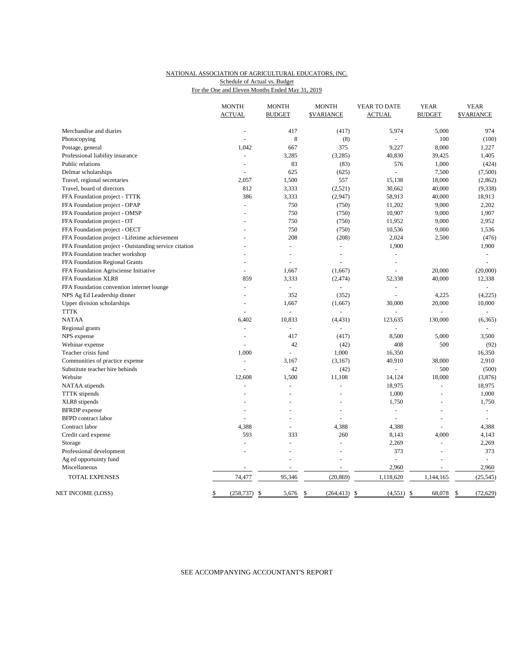#### NATIONAL ASSOCIATION OF AGRICULTURAL EDUCATORS, INC. For the One and Eleven Months Ended May 31, 2019 Schedule of Actual vs. Budget

|                                                       | <b>MONTH</b><br><b>ACTUAL</b> | <b>MONTH</b><br><b>BUDGET</b> | <b>MONTH</b><br><b><i>SVARIANCE</i></b> | YEAR TO DATE<br><b>ACTUAL</b> | <b>YEAR</b><br><b>BUDGET</b> | <b>YEAR</b><br><b>\$VARIANCE</b> |
|-------------------------------------------------------|-------------------------------|-------------------------------|-----------------------------------------|-------------------------------|------------------------------|----------------------------------|
| Merchandise and diaries                               | ÷,                            | 417                           | (417)                                   | 5,974                         | 5,000                        | 974                              |
| Photocopying                                          |                               | $\,$ 8 $\,$                   | (8)                                     |                               | 100                          | (100)                            |
| Postage, general                                      | 1,042                         | 667                           | 375                                     | 9,227                         | 8,000                        | 1,227                            |
| Professional liability insurance                      | $\sim$                        | 3,285                         | (3,285)                                 | 40,830                        | 39,425                       | 1,405                            |
| Public relations                                      |                               | 83                            | (83)                                    | 576                           | 1,000                        | (424)                            |
| Delmar scholarships                                   | ÷.                            | 625                           | (625)                                   | ä,                            | 7,500                        | (7,500)                          |
| Travel, regional secretaries                          | 2,057                         | 1,500                         | 557                                     | 15,138                        | 18,000                       | (2, 862)                         |
| Travel, board of directors                            | 812                           | 3,333                         | (2,521)                                 | 30,662                        | 40,000                       | (9, 338)                         |
| FFA Foundation project - TTTK                         | 386                           | 3,333                         | (2,947)                                 | 58,913                        | 40,000                       | 18,913                           |
| FFA Foundation project - OPAP                         | ÷,                            | 750                           | (750)                                   | 11,202                        | 9,000                        | 2,202                            |
| FFA Foundation project - OMSP                         |                               | 750                           | (750)                                   | 10,907                        | 9,000                        | 1,907                            |
| FFA Foundation project - OT                           |                               | 750                           | (750)                                   | 11,952                        | 9,000                        | 2,952                            |
| FFA Foundation project - OECT                         |                               | 750                           | (750)                                   | 10,536                        | 9,000                        | 1,536                            |
| FFA Foundation project - Lifetime achievement         |                               | 208                           | (208)                                   | 2,024                         | 2,500                        | (476)                            |
| FFA Foundation project - Outstanding service citation |                               | $\blacksquare$                | $\omega$                                | 1,900                         |                              | 1,900                            |
| FFA Foundation teacher workshop                       |                               |                               |                                         |                               |                              | ä,                               |
| FFA Foundation Regional Grants                        |                               | L,                            |                                         | L.                            |                              | ÷                                |
| FFA Foundation Agrisciense Initiative                 | ÷                             | 1,667                         | (1,667)                                 | ÷,                            | 20,000                       | (20,000)                         |
| FFA Foundation XLR8                                   | 859                           | 3,333                         | (2, 474)                                | 52,338                        | 40,000                       | 12,338                           |
| FFA Foundation convention internet lounge             |                               | ÷                             |                                         |                               |                              |                                  |
| NPS Ag Ed Leadership dinner                           |                               | 352                           | (352)                                   | $\overline{a}$                | 4,225                        | (4,225)                          |
| Upper division scholarships                           |                               | 1,667                         | (1,667)                                 | 30,000                        | 20,000                       | 10,000                           |
| <b>TTTK</b>                                           | $\overline{a}$                |                               |                                         |                               |                              |                                  |
| <b>NATAA</b>                                          | 6,402                         | 10,833                        | (4, 431)                                | 123,635                       | 130,000                      | (6, 365)                         |
| Regional grants                                       |                               | ä,                            | ÷,                                      |                               |                              |                                  |
| NPS expense                                           | ÷,                            | 417                           | (417)                                   | 8,500                         | 5,000                        | 3,500                            |
| Webinar expense                                       |                               | 42                            | (42)                                    | 408                           | 500                          | (92)                             |
| Teacher crisis fund                                   | 1,000                         | L.                            | 1,000                                   | 16,350                        |                              | 16,350                           |
| Communities of practice expense                       | ÷                             | 3,167                         | (3,167)                                 | 40,910                        | 38,000                       | 2,910                            |
| Substitute teacher hire behinds                       | ÷                             | 42                            | (42)                                    | $\sim$                        | 500                          | (500)                            |
| Website                                               | 12,608                        | 1,500                         | 11,108                                  | 14,124                        | 18,000                       | (3,876)                          |
| NATAA stipends                                        | $\overline{a}$                | $\overline{a}$                | $\overline{a}$                          | 18,975                        | L.                           | 18,975                           |
| <b>TTTK</b> stipends                                  |                               | ÷,                            |                                         | 1,000                         | L.                           | 1,000                            |
| XLR8 stipends                                         |                               | L.                            |                                         | 1,750                         | L,                           | 1,750                            |
| <b>BFRDP</b> expense                                  | L,                            |                               |                                         | ä,                            | ÷,                           | $\omega$                         |
| <b>BFPD</b> contract labor                            |                               |                               |                                         |                               |                              |                                  |
| Contract labor                                        | 4,388                         |                               | 4,388                                   | 4,388                         |                              | 4,388                            |
| Credit card expense                                   | 593                           | 333                           | 260                                     | 8,143                         | 4,000                        | 4,143                            |
| Storage                                               | $\overline{a}$                | $\overline{a}$                | $\overline{a}$                          | 2,269                         | $\overline{a}$               | 2,269                            |
|                                                       |                               |                               |                                         | 373                           |                              | 373                              |
| Professional development                              |                               |                               |                                         |                               |                              |                                  |
| Ag ed opportuinty fund<br>Miscellaneous               |                               |                               |                                         | 2,960                         |                              | 2,960                            |
|                                                       |                               |                               |                                         |                               |                              |                                  |
| TOTAL EXPENSES                                        | 74,477                        | 95,346                        | (20, 869)                               | 1,118,620                     | 1,144,165                    | (25, 545)                        |
| NET INCOME (LOSS)                                     | \$<br>$(258, 737)$ \$         | 5,676                         | \$<br>$(264, 413)$ \$                   | $(4,551)$ \$                  | 68,078                       | (72, 629)<br>-S                  |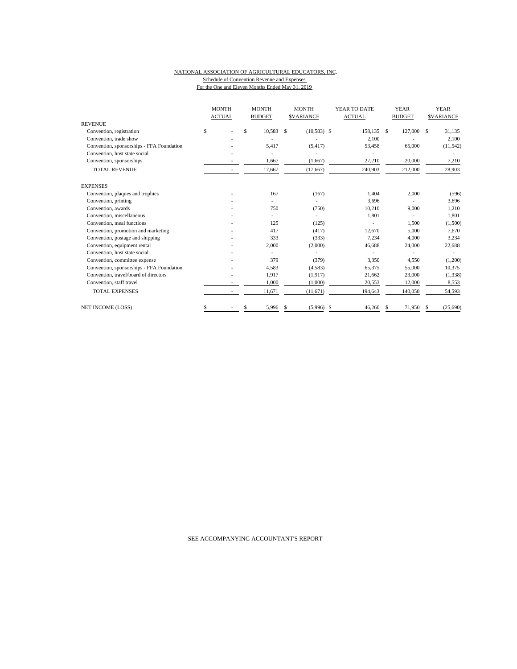#### NATIONAL ASSOCIATION OF AGRICULTURAL EDUCATORS, INC. Schedule of Convention Revenue and Expenses For the One and Eleven Months Ended May 31, 2019

|                                           | <b>MONTH</b><br><b>ACTUAL</b> | <b>MONTH</b><br><b>BUDGET</b> |    | <b>MONTH</b><br><b>SVARIANCE</b> | YEAR TO DATE<br><b>ACTUAL</b> |     | <b>YEAR</b><br><b>BUDGET</b> |    | <b>YEAR</b><br><b>SVARIANCE</b> |
|-------------------------------------------|-------------------------------|-------------------------------|----|----------------------------------|-------------------------------|-----|------------------------------|----|---------------------------------|
| <b>REVENUE</b>                            |                               |                               |    |                                  |                               |     |                              |    |                                 |
| Convention, registration                  | \$                            | \$<br>10,583                  | -S | $(10,583)$ \$                    | 158,135 \$                    |     | 127,000                      | -S | 31,135                          |
| Convention, trade show                    |                               |                               |    |                                  | 2,100                         |     |                              |    | 2,100                           |
| Convention, sponsorships - FFA Foundation |                               | 5.417                         |    | (5, 417)                         | 53,458                        |     | 65,000                       |    | (11, 542)                       |
| Convention, host state social             |                               |                               |    |                                  |                               |     |                              |    |                                 |
| Convention, sponsorships                  |                               | 1,667                         |    | (1,667)                          | 27,210                        |     | 20,000                       |    | 7,210                           |
| <b>TOTAL REVENUE</b>                      |                               | 17,667                        |    | (17,667)                         | 240,903                       |     | 212,000                      |    | 28,903                          |
| <b>EXPENSES</b>                           |                               |                               |    |                                  |                               |     |                              |    |                                 |
| Convention, plaques and trophies          |                               | 167                           |    | (167)                            | 1.404                         |     | 2,000                        |    | (596)                           |
| Convention, printing                      |                               |                               |    |                                  | 3,696                         |     |                              |    | 3,696                           |
| Convention, awards                        |                               | 750                           |    | (750)                            | 10,210                        |     | 9,000                        |    | 1,210                           |
| Convention, miscellaneous                 |                               |                               |    |                                  | 1,801                         |     | ÷.                           |    | 1,801                           |
| Convention, meal functions                |                               | 125                           |    | (125)                            |                               |     | 1,500                        |    | (1,500)                         |
| Convention, promotion and marketing       |                               | 417                           |    | (417)                            | 12,670                        |     | 5.000                        |    | 7,670                           |
| Convention, postage and shipping          |                               | 333                           |    | (333)                            | 7,234                         |     | 4,000                        |    | 3,234                           |
| Convention, equipment rental              |                               | 2,000                         |    | (2,000)                          | 46,688                        |     | 24,000                       |    | 22,688                          |
| Convention, host state social             |                               |                               |    |                                  |                               |     |                              |    |                                 |
| Convention, committee expense             |                               | 379                           |    | (379)                            | 3,350                         |     | 4,550                        |    | (1,200)                         |
| Convention, sponsorships - FFA Foundation |                               | 4,583                         |    | (4,583)                          | 65,375                        |     | 55,000                       |    | 10,375                          |
| Convention, travel/board of directors     |                               | 1,917                         |    | (1,917)                          | 21,662                        |     | 23,000                       |    | (1,338)                         |
| Convention, staff travel                  |                               | 1,000                         |    | (1,000)                          | 20,553                        |     | 12,000                       |    | 8,553                           |
| <b>TOTAL EXPENSES</b>                     |                               | 11,671                        |    | (11,671)                         | 194,643                       |     | 140,050                      |    | 54,593                          |
| <b>NET INCOME (LOSS)</b>                  |                               | 5,996                         | S. | (5,996)                          | \$<br>46.260                  | \$. | 71,950                       |    | (25,690)                        |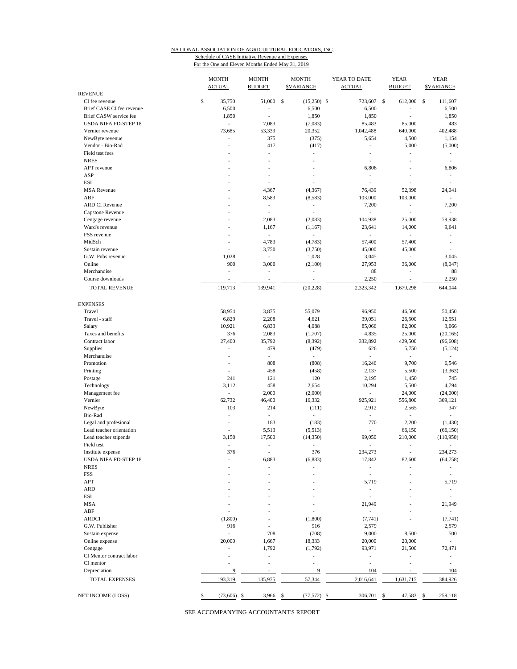### NATIONAL ASSOCIATION OF AGRICULTURAL EDUCATORS, INC. Schedule of CASE Initiative Revenue and Expenses

For the One and Eleven Months Ended May 31, 2019

|                                             | <b>MONTH</b><br><b>ACTUAL</b> | <b>MONTH</b><br><b>BUDGET</b>            | <b>MONTH</b><br><b>\$VARIANCE</b> | YEAR TO DATE<br><b>ACTUAL</b>      | <b>YEAR</b><br><b>BUDGET</b> | <b>YEAR</b><br><b>\$VARIANCE</b> |
|---------------------------------------------|-------------------------------|------------------------------------------|-----------------------------------|------------------------------------|------------------------------|----------------------------------|
| <b>REVENUE</b>                              |                               |                                          |                                   |                                    |                              |                                  |
| CI fee revenue<br>Brief CASE CI fee revenue | \$<br>35,750<br>6,500         | 51,000 \$<br>J.                          | $(15,250)$ \$<br>6,500            | 723,607 \$<br>6,500                | 612,000 \$                   | 111,607<br>6,500                 |
| Brief CASW service fee                      | 1,850                         | ÷,                                       | 1,850                             | 1,850                              |                              | 1,850                            |
| <b>USDA NIFA PD-STEP 18</b>                 | ÷.                            | 7,083                                    | (7,083)                           | 85,483                             | 85,000                       | 483                              |
| Vernier revenue                             | 73,685                        | 53,333                                   | 20,352                            | 1,042,488                          | 640,000                      | 402,488                          |
| NewByte revenue                             | ÷,                            | 375                                      | (375)                             | 5,654                              | 4,500                        | 1,154                            |
| Vendor - Bio-Rad                            | J.                            | 417                                      | (417)                             | ä,                                 | 5,000                        | (5,000)                          |
| Field test fees                             | ÷,                            | ÷,                                       | $\sim$                            | ä,                                 | ÷,                           | $\overline{\phantom{a}}$         |
| <b>NRES</b>                                 | ÷,                            | ÷.                                       | $\overline{a}$                    | L,                                 |                              | $\sim$                           |
| APT revenue                                 |                               | L,                                       |                                   | 6,806                              |                              | 6,806                            |
| ASP                                         |                               |                                          |                                   | $\overline{a}$                     |                              | $\overline{\phantom{a}}$         |
| <b>ESI</b>                                  |                               | i,                                       |                                   | i.                                 |                              | $\overline{\phantom{a}}$         |
| <b>MSA</b> Revenue                          |                               | 4,367                                    | (4, 367)                          | 76,439                             | 52,398                       | 24,041                           |
| ABF                                         |                               | 8,583                                    | (8,583)                           | 103,000                            | 103,000                      | $\sim$                           |
| <b>ARD CI Revenue</b>                       |                               | ÷,                                       | $\overline{\phantom{a}}$          | 7,200                              | ÷,                           | 7,200                            |
| Capstone Revenue                            |                               | ÷,                                       | L,                                | ÷,                                 | $\overline{\phantom{a}}$     | $\sim$                           |
| Cengage revenue                             |                               | 2,083                                    | (2,083)                           | 104,938                            | 25,000                       | 79,938                           |
| Ward's revenue                              |                               | 1,167                                    | (1,167)                           | 23,641                             | 14,000                       | 9,641                            |
| FSS revenue                                 | ÷,                            | $\overline{\phantom{a}}$                 |                                   | L.                                 | ÷,                           | $\overline{\phantom{a}}$         |
| MidSch                                      | ÷.                            | 4,783                                    | (4,783)                           | 57,400                             | 57,400                       | $\overline{\phantom{a}}$         |
| Sustain revenue                             | $\overline{\phantom{a}}$      | 3,750                                    | (3,750)                           | 45,000                             | 45,000                       | $\overline{\phantom{a}}$         |
| G.W. Pubs revenue                           | 1,028                         | $\overline{\phantom{a}}$                 | 1,028                             | 3,045                              | $\overline{\phantom{a}}$     | 3,045                            |
| Online                                      |                               | 900<br>3,000                             | (2,100)                           | 27,953                             | 36,000                       | (8,047)                          |
| Merchandise                                 | $\overline{\phantom{a}}$      | $\overline{\phantom{a}}$                 | $\qquad \qquad \blacksquare$      | 88                                 | $\overline{\phantom{a}}$     | 88                               |
| Course downloads                            | ÷,                            | ÷,                                       | ÷,                                | 2,250                              | $\overline{a}$               | 2,250                            |
| TOTAL REVENUE                               | 119,713                       | 139,941                                  | (20, 228)                         | 2,323,342                          | 1,679,298                    | 644,044                          |
| <b>EXPENSES</b>                             |                               |                                          |                                   |                                    |                              |                                  |
| Travel                                      | 58,954                        | 3,875                                    | 55,079                            | 96,950                             | 46,500                       | 50,450                           |
| Travel - staff                              | 6,829                         | 2,208                                    | 4,621                             | 39,051                             | 26,500                       | 12,551                           |
| Salary                                      | 10,921                        | 6,833                                    | 4,088                             | 85,066                             | 82,000                       | 3,066                            |
| Taxes and benefits                          |                               | 376<br>2,083                             | (1,707)                           | 4,835                              | 25,000                       | (20, 165)                        |
| Contract labor                              | 27,400                        | 35,792                                   | (8, 392)                          | 332,892                            | 429,500                      | (96, 608)                        |
| Supplies                                    | ä,                            | 479                                      | (479)                             | 626                                | 5,750                        | (5, 124)                         |
| Merchandise                                 | ÷,                            | $\overline{\phantom{a}}$                 | $\overline{\phantom{a}}$          | Ĭ.                                 | $\overline{\phantom{a}}$     |                                  |
| Promotion                                   | ٠                             | 808                                      | (808)                             | 16,246                             | 9,700                        | 6,546                            |
| Printing                                    | ÷,                            | 458                                      | (458)                             | 2,137                              | 5,500                        | (3,363)                          |
| Postage                                     |                               | 121<br>241                               | 120                               | 2,195                              | 1,450                        | 745<br>4,794                     |
| Technology                                  | 3,112                         | 458<br>2,000<br>$\overline{\phantom{a}}$ | 2,654<br>(2,000)                  | 10,294<br>$\overline{\phantom{a}}$ | 5,500<br>24,000              | (24,000)                         |
| Management fee<br>Vernier                   | 62,732                        | 46,400                                   | 16,332                            | 925,921                            | 556,800                      | 369,121                          |
| NewByte                                     |                               | 103<br>214                               | (111)                             | 2,912                              | 2,565                        | 347                              |
| Bio-Rad                                     | ÷,                            | $\overline{\phantom{a}}$                 | $\sim$                            | ä,                                 | $\sim$                       | ÷                                |
| Legal and profesional                       | ä,                            | 183                                      | (183)                             | 770                                | 2,200                        | (1,430)                          |
| Lead teacher orientation                    | ÷,                            | 5,513                                    | (5,513)                           | $\overline{a}$                     | 66,150                       | (66, 150)                        |
| Lead teacher stipends                       | 3,150                         | 17,500                                   | (14, 350)                         | 99,050                             | 210,000                      | (110,950)                        |
| Field test                                  | $\sim$                        | ٠                                        | ٠                                 | ä,                                 | ÷,                           | ٠                                |
| Institute expense                           |                               | 376<br>٠                                 | 376                               | 234,273                            |                              | 234,273                          |
| USDA NIFA PD-STEP 18                        |                               | 6,883                                    | (6, 883)                          | 17,842                             | 82,600                       | (64, 758)                        |
| <b>NRES</b>                                 |                               | ÷,                                       |                                   | i,                                 |                              |                                  |
| <b>FSS</b>                                  |                               |                                          |                                   | i.                                 |                              |                                  |
| APT                                         |                               |                                          |                                   | 5,719                              |                              | 5,719                            |
| <b>ARD</b>                                  |                               |                                          |                                   | ÷,                                 |                              | $\overline{\phantom{a}}$         |
| ESI                                         |                               |                                          |                                   | ä,                                 |                              | ÷                                |
| <b>MSA</b>                                  |                               |                                          |                                   | 21,949                             |                              | 21,949                           |
| ABF                                         |                               |                                          |                                   | ÷,                                 |                              | $\sim$                           |
| <b>ARDCI</b>                                | (1,800)                       |                                          | (1,800)                           | (7, 741)                           |                              | (7, 741)                         |
| G.W. Publisher                              |                               | 916                                      | 916                               | 2,579                              |                              | 2,579                            |
| Sustain expense                             | ÷,                            | 708                                      | (708)                             | 9,000                              | 8,500                        | 500                              |
| Online expense                              | 20,000                        | 1,667                                    | 18,333                            | 20,000                             | 20,000                       | ×.                               |
| Cengage                                     | ÷,                            | 1,792                                    | (1,792)                           | 93,971                             | 21,500                       | 72,471                           |
| CI Mentor contract labor                    | ÷                             | ÷,                                       |                                   | i.                                 |                              | $\overline{\phantom{a}}$         |
| CI mentor                                   |                               | $\overline{a}$                           |                                   | i,                                 | $\overline{\phantom{a}}$     | $\overline{\phantom{a}}$         |
| Depreciation                                |                               | $\overline{9}$<br>÷,                     | 9                                 | 104                                | $\overline{a}$               | 104                              |
| TOTAL EXPENSES                              | 193,319                       | 135,975                                  | 57,344                            | 2,016,641                          | 1,631,715                    | 384,926                          |
| NET INCOME (LOSS)                           | \$<br>(73,606)                | -\$<br>3,966                             | (77, 572)<br>\$                   | \$<br>306,701                      | 47,583<br>\$                 | 259,118<br>\$                    |
|                                             |                               |                                          |                                   |                                    |                              |                                  |